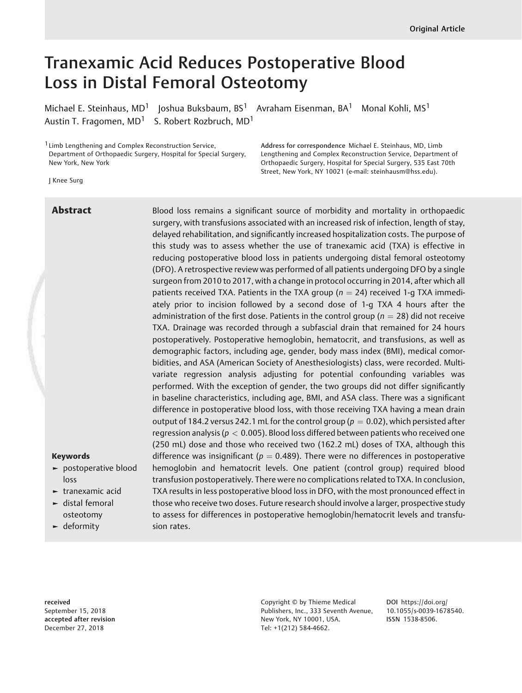# Tranexamic Acid Reduces Postoperative Blood Loss in Distal Femoral Osteotomy

Austin T. Fragomen,  $MD<sup>1</sup>$  S. Robert Rozbruch,  $MD<sup>1</sup>$ 

Michael E. Steinhaus, MD<sup>1</sup> Joshua Buksbaum, BS<sup>1</sup> Avraham Eisenman, BA<sup>1</sup> Monal Kohli, MS<sup>1</sup>

Address for correspondence Michael E. Steinhaus, MD, Limb Lengthening and Complex Reconstruction Service, Department of Orthopaedic Surgery, Hospital for Special Surgery, 535 East 70th Street, New York, NY 10021 (e-mail: [steinhausm@hss.edu\)](mailto:steinhausm@hss.edu).

1 Limb Lengthening and Complex Reconstruction Service, Department of Orthopaedic Surgery, Hospital for Special Surgery, New York, New York

J Knee Surg

**Abstract** Blood loss remains a significant source of morbidity and mortality in orthopaedic surgery, with transfusions associated with an increased risk of infection, length of stay, delayed rehabilitation, and significantly increased hospitalization costs. The purpose of this study was to assess whether the use of tranexamic acid (TXA) is effective in reducing postoperative blood loss in patients undergoing distal femoral osteotomy (DFO). A retrospective review was performed of all patients undergoing DFO by a single surgeon from 2010 to 2017, with a change in protocol occurring in 2014, after which all patients received TXA. Patients in the TXA group ( $n = 24$ ) received 1-g TXA immediately prior to incision followed by a second dose of 1-g TXA 4 hours after the administration of the first dose. Patients in the control group ( $n = 28$ ) did not receive TXA. Drainage was recorded through a subfascial drain that remained for 24 hours postoperatively. Postoperative hemoglobin, hematocrit, and transfusions, as well as demographic factors, including age, gender, body mass index (BMI), medical comorbidities, and ASA (American Society of Anesthesiologists) class, were recorded. Multivariate regression analysis adjusting for potential confounding variables was performed. With the exception of gender, the two groups did not differ significantly in baseline characteristics, including age, BMI, and ASA class. There was a significant difference in postoperative blood loss, with those receiving TXA having a mean drain output of 184.2 versus 242.1 mL for the control group ( $p = 0.02$ ), which persisted after regression analysis ( $p < 0.005$ ). Blood loss differed between patients who received one (250 mL) dose and those who received two (162.2 mL) doses of TXA, although this difference was insignificant ( $p = 0.489$ ). There were no differences in postoperative hemoglobin and hematocrit levels. One patient (control group) required blood transfusion postoperatively. There were no complications related to TXA. In conclusion, TXA results in less postoperative blood loss in DFO, with the most pronounced effect in those who receive two doses. Future research should involve a larger, prospective study to assess for differences in postoperative hemoglobin/hematocrit levels and transfusion rates.

### Keywords

- ► postoperative blood loss
- ► tranexamic acid
- ► distal femoral osteotomy
- ► deformity

received September 15, 2018 accepted after revision December 27, 2018

Copyright © by Thieme Medical Publishers, Inc., 333 Seventh Avenue, New York, NY 10001, USA. Tel: +1(212) 584-4662.

DOI [https://doi.org/](https://doi.org/10.1055/s-0039-1678540) [10.1055/s-0039-1678540](https://doi.org/10.1055/s-0039-1678540). ISSN 1538-8506.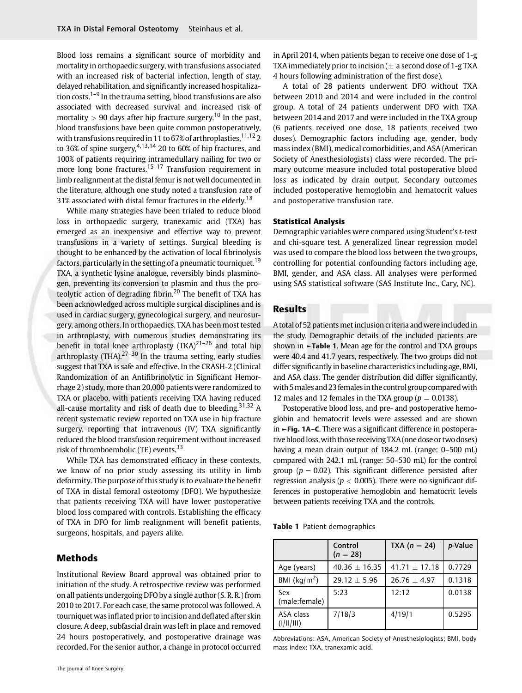Blood loss remains a significant source of morbidity and mortality in orthopaedic surgery, with transfusions associated with an increased risk of bacterial infection, length of stay, delayed rehabilitation, and significantly increased hospitalization costs. $1-9$  In the trauma setting, blood transfusions are also associated with decreased survival and increased risk of mortality  $> 90$  days after hip fracture surgery.<sup>10</sup> In the past, blood transfusions have been quite common postoperatively, with transfusions required in 11 to 67% of arthroplasties,  $11,12$  2 to 36% of spine surgery,<sup>4,13,14</sup> 20 to 60% of hip fractures, and 100% of patients requiring intramedullary nailing for two or more long bone fractures.<sup>15–17</sup> Transfusion requirement in limb realignment at the distal femur is not well documented in the literature, although one study noted a transfusion rate of 31% associated with distal femur fractures in the elderly.<sup>18</sup>

While many strategies have been trialed to reduce blood loss in orthopaedic surgery, tranexamic acid (TXA) has emerged as an inexpensive and effective way to prevent transfusions in a variety of settings. Surgical bleeding is thought to be enhanced by the activation of local fibrinolysis factors, particularly in the setting of a pneumatic tourniquet.<sup>19</sup> TXA, a synthetic lysine analogue, reversibly binds plasminogen, preventing its conversion to plasmin and thus the proteolytic action of degrading fibrin.<sup>20</sup> The benefit of TXA has been acknowledged across multiple surgical disciplines and is used in cardiac surgery, gynecological surgery, and neurosurgery, among others. In orthopaedics, TXA has been most tested in arthroplasty, with numerous studies demonstrating its benefit in total knee arthroplasty  $(TKA)^{21-26}$  and total hip arthroplasty (THA). $27-30$  In the trauma setting, early studies suggest that TXA is safe and effective. In the CRASH-2 (Clinical Randomization of an Antifibrinolytic in Significant Hemorrhage 2) study, more than 20,000 patients were randomized to TXA or placebo, with patients receiving TXA having reduced all-cause mortality and risk of death due to bleeding.<sup>31,32</sup> A recent systematic review reported on TXA use in hip fracture surgery, reporting that intravenous (IV) TXA significantly reduced the blood transfusion requirement without increased risk of thromboembolic (TE) events. $33$ 

While TXA has demonstrated efficacy in these contexts, we know of no prior study assessing its utility in limb deformity. The purpose of this study is to evaluate the benefit of TXA in distal femoral osteotomy (DFO). We hypothesize that patients receiving TXA will have lower postoperative blood loss compared with controls. Establishing the efficacy of TXA in DFO for limb realignment will benefit patients, surgeons, hospitals, and payers alike.

# Methods

Institutional Review Board approval was obtained prior to initiation of the study. A retrospective review was performed on all patients undergoing DFO by a single author (S. R. R.) from 2010 to 2017. For each case, the same protocol was followed. A tourniquet wasinflated prior to incision and deflated after skin closure. A deep, subfascial drain was left in place and removed 24 hours postoperatively, and postoperative drainage was recorded. For the senior author, a change in protocol occurred

in April 2014, when patients began to receive one dose of 1-g TXA immediately prior to incision ( $\pm$  a second dose of 1-g TXA 4 hours following administration of the first dose).

A total of 28 patients underwent DFO without TXA between 2010 and 2014 and were included in the control group. A total of 24 patients underwent DFO with TXA between 2014 and 2017 and were included in the TXA group (6 patients received one dose, 18 patients received two doses). Demographic factors including age, gender, body mass index (BMI), medical comorbidities, and ASA (American Society of Anesthesiologists) class were recorded. The primary outcome measure included total postoperative blood loss as indicated by drain output. Secondary outcomes included postoperative hemoglobin and hematocrit values and postoperative transfusion rate.

#### Statistical Analysis

Demographic variables were compared using Student's t-test and chi-square test. A generalized linear regression model was used to compare the blood loss between the two groups, controlling for potential confounding factors including age, BMI, gender, and ASA class. All analyses were performed using SAS statistical software (SAS Institute Inc., Cary, NC).

# Results

A total of 52 patients met inclusion criteria and were included in the study. Demographic details of the included patients are shown in ►Table 1. Mean age for the control and TXA groups were 40.4 and 41.7 years, respectively. The two groups did not differ significantly in baseline characteristics including age, BMI, and ASA class. The gender distribution did differ significantly, with 5 males and 23 females in the control group compared with 12 males and 12 females in the TXA group ( $p = 0.0138$ ).

Postoperative blood loss, and pre- and postoperative hemoglobin and hematocrit levels were assessed and are shown in ►Fig. 1A–C. There was a significant difference in postoperative blood loss, with those receiving TXA (one dose or two doses) having a mean drain output of 184.2 mL (range: 0–500 mL) compared with 242.1 mL (range: 50–530 mL) for the control group ( $p = 0.02$ ). This significant difference persisted after regression analysis ( $p < 0.005$ ). There were no significant differences in postoperative hemoglobin and hematocrit levels between patients receiving TXA and the controls.

Table 1 Patient demographics

|                         | Control<br>$(n = 28)$ | TXA ( $n = 24$ )  | p-Value |
|-------------------------|-----------------------|-------------------|---------|
| Age (years)             | $40.36 + 16.35$       | $41.71 \pm 17.18$ | 0.7729  |
| BMI ( $\text{kg/m}^2$ ) | $29.12 \pm 5.96$      | $26.76 \pm 4.97$  | 0.1318  |
| Sex<br>(male:female)    | 5:23                  | 12:12             | 0.0138  |
| ASA class<br>(1/11/111) | 7/18/3                | 4/19/1            | 0.5295  |

Abbreviations: ASA, American Society of Anesthesiologists; BMI, body mass index; TXA, tranexamic acid.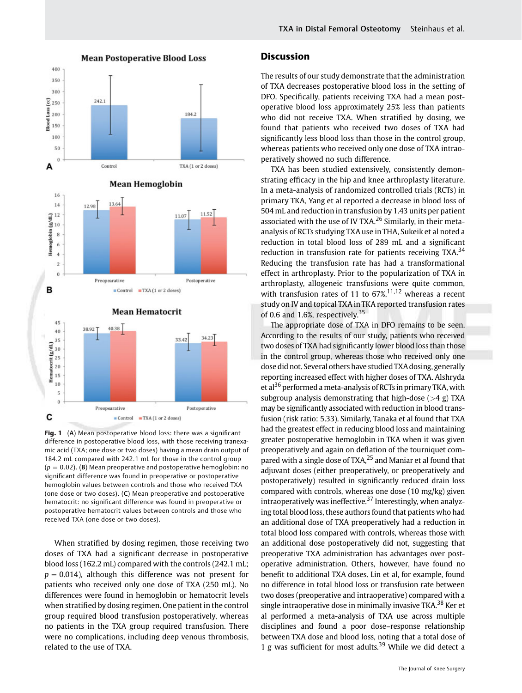



Fig. 1 (A) Mean postoperative blood loss: there was a significant difference in postoperative blood loss, with those receiving tranexamic acid (TXA; one dose or two doses) having a mean drain output of 184.2 mL compared with 242.1 mL for those in the control group  $(p = 0.02)$ . (B) Mean preoperative and postoperative hemoglobin: no significant difference was found in preoperative or postoperative hemoglobin values between controls and those who received TXA (one dose or two doses). (C) Mean preoperative and postoperative hematocrit: no significant difference was found in preoperative or postoperative hematocrit values between controls and those who received TXA (one dose or two doses).

When stratified by dosing regimen, those receiving two doses of TXA had a significant decrease in postoperative blood loss (162.2 mL) compared with the controls (242.1 mL;  $p = 0.014$ ), although this difference was not present for patients who received only one dose of TXA (250 mL). No differences were found in hemoglobin or hematocrit levels when stratified by dosing regimen. One patient in the control group required blood transfusion postoperatively, whereas no patients in the TXA group required transfusion. There were no complications, including deep venous thrombosis, related to the use of TXA.

# **Discussion**

The results of our study demonstrate that the administration of TXA decreases postoperative blood loss in the setting of DFO. Specifically, patients receiving TXA had a mean postoperative blood loss approximately 25% less than patients who did not receive TXA. When stratified by dosing, we found that patients who received two doses of TXA had significantly less blood loss than those in the control group, whereas patients who received only one dose of TXA intraoperatively showed no such difference.

TXA has been studied extensively, consistently demonstrating efficacy in the hip and knee arthroplasty literature. In a meta-analysis of randomized controlled trials (RCTs) in primary TKA, Yang et al reported a decrease in blood loss of 504 mL and reduction in transfusion by 1.43 units per patient associated with the use of IV TXA. $26$  Similarly, in their metaanalysis of RCTs studying TXA use in THA, Sukeik et al noted a reduction in total blood loss of 289 mL and a significant reduction in transfusion rate for patients receiving TXA.<sup>34</sup> Reducing the transfusion rate has had a transformational effect in arthroplasty. Prior to the popularization of TXA in arthroplasty, allogeneic transfusions were quite common, with transfusion rates of 11 to  $67\%$ ,  $^{11,12}$  whereas a recent study on IV and topical TXA in TKA reported transfusion rates of 0.6 and 1.6%, respectively.<sup>35</sup>

The appropriate dose of TXA in DFO remains to be seen. According to the results of our study, patients who received two doses of TXA had significantly lower blood loss than those in the control group, whereas those who received only one dose did not. Several others have studied TXA dosing, generally reporting increased effect with higher doses of TXA. Alshryda et al<sup>36</sup> performed a meta-analysis of RCTs in primary TKA, with subgroup analysis demonstrating that high-dose  $(>4 g)$  TXA may be significantly associated with reduction in blood transfusion (risk ratio: 5.33). Similarly, Tanaka et al found that TXA had the greatest effect in reducing blood loss and maintaining greater postoperative hemoglobin in TKA when it was given preoperatively and again on deflation of the tourniquet compared with a single dose of TXA,<sup>25</sup> and Maniar et al found that adjuvant doses (either preoperatively, or preoperatively and postoperatively) resulted in significantly reduced drain loss compared with controls, whereas one dose (10 mg/kg) given intraoperatively was ineffective.<sup>37</sup> Interestingly, when analyzing total blood loss, these authors found that patients who had an additional dose of TXA preoperatively had a reduction in total blood loss compared with controls, whereas those with an additional dose postoperatively did not, suggesting that preoperative TXA administration has advantages over postoperative administration. Others, however, have found no benefit to additional TXA doses. Lin et al, for example, found no difference in total blood loss or transfusion rate between two doses (preoperative and intraoperative) compared with a single intraoperative dose in minimally invasive TKA.<sup>38</sup> Ker et al performed a meta-analysis of TXA use across multiple disciplines and found a poor dose–response relationship between TXA dose and blood loss, noting that a total dose of 1 g was sufficient for most adults.<sup>39</sup> While we did detect a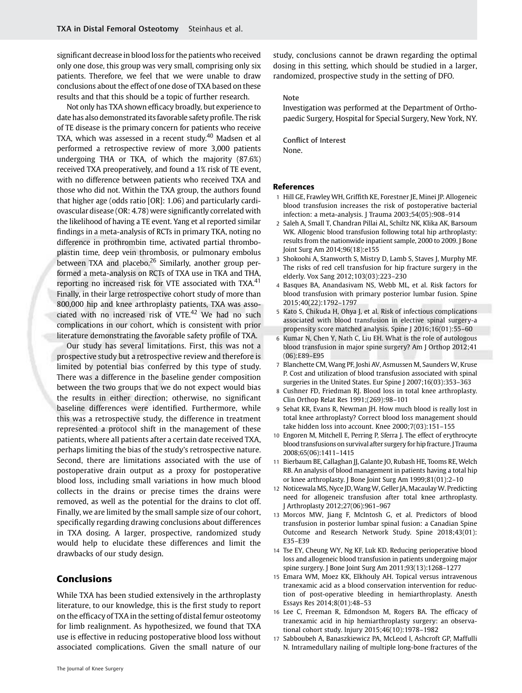significant decrease in blood loss for the patients who received only one dose, this group was very small, comprising only six patients. Therefore, we feel that we were unable to draw conclusions about the effect of one dose of TXA based on these results and that this should be a topic of further research.

Not only has TXA shown efficacy broadly, but experience to date has also demonstrated its favorable safety profile. The risk of TE disease is the primary concern for patients who receive TXA, which was assessed in a recent study.<sup>40</sup> Madsen et al performed a retrospective review of more 3,000 patients undergoing THA or TKA, of which the majority (87.6%) received TXA preoperatively, and found a 1% risk of TE event, with no difference between patients who received TXA and those who did not. Within the TXA group, the authors found that higher age (odds ratio [OR]: 1.06) and particularly cardiovascular disease (OR: 4.78) were significantly correlated with the likelihood of having a TE event. Yang et al reported similar findings in a meta-analysis of RCTs in primary TKA, noting no difference in prothrombin time, activated partial thromboplastin time, deep vein thrombosis, or pulmonary embolus between TXA and placebo.<sup>26</sup> Similarly, another group performed a meta-analysis on RCTs of TXA use in TKA and THA, reporting no increased risk for VTE associated with TXA.<sup>41</sup> Finally, in their large retrospective cohort study of more than 800,000 hip and knee arthroplasty patients, TXA was associated with no increased risk of VTE.<sup>42</sup> We had no such complications in our cohort, which is consistent with prior literature demonstrating the favorable safety profile of TXA.

Our study has several limitations. First, this was not a prospective study but a retrospective review and therefore is limited by potential bias conferred by this type of study. There was a difference in the baseline gender composition between the two groups that we do not expect would bias the results in either direction; otherwise, no significant baseline differences were identified. Furthermore, while this was a retrospective study, the difference in treatment represented a protocol shift in the management of these patients, where all patients after a certain date received TXA, perhaps limiting the bias of the study's retrospective nature. Second, there are limitations associated with the use of postoperative drain output as a proxy for postoperative blood loss, including small variations in how much blood collects in the drains or precise times the drains were removed, as well as the potential for the drains to clot off. Finally, we are limited by the small sample size of our cohort, specifically regarding drawing conclusions about differences in TXA dosing. A larger, prospective, randomized study would help to elucidate these differences and limit the drawbacks of our study design.

# Conclusions

While TXA has been studied extensively in the arthroplasty literature, to our knowledge, this is the first study to report on the efficacy of TXA in the setting of distal femur osteotomy for limb realignment. As hypothesized, we found that TXA use is effective in reducing postoperative blood loss without associated complications. Given the small nature of our

#### **Note**

Investigation was performed at the Department of Orthopaedic Surgery, Hospital for Special Surgery, New York, NY.

Conflict of Interest None.

#### References

- 1 Hill GE, Frawley WH, Griffith KE, Forestner JE, Minei JP. Allogeneic blood transfusion increases the risk of postoperative bacterial infection: a meta-analysis. J Trauma 2003;54(05):908–914
- 2 Saleh A, Small T, Chandran Pillai AL, Schiltz NK, Klika AK, Barsoum WK. Allogenic blood transfusion following total hip arthroplasty: results from the nationwide inpatient sample, 2000 to 2009. J Bone Joint Surg Am 2014;96(18):e155
- 3 Shokoohi A, Stanworth S, Mistry D, Lamb S, Staves J, Murphy MF. The risks of red cell transfusion for hip fracture surgery in the elderly. Vox Sang 2012;103(03):223–230
- 4 Basques BA, Anandasivam NS, Webb ML, et al. Risk factors for blood transfusion with primary posterior lumbar fusion. Spine 2015;40(22):1792–1797
- 5 Kato S, Chikuda H, Ohya J, et al. Risk of infectious complications associated with blood transfusion in elective spinal surgery-a propensity score matched analysis. Spine J 2016;16(01):55–60
- 6 Kumar N, Chen Y, Nath C, Liu EH. What is the role of autologous blood transfusion in major spine surgery? Am J Orthop 2012;41 (06):E89–E95
- 7 Blanchette CM, Wang PF, Joshi AV, Asmussen M, Saunders W, Kruse P. Cost and utilization of blood transfusion associated with spinal surgeries in the United States. Eur Spine J 2007;16(03):353–363
- 8 Cushner FD, Friedman RJ. Blood loss in total knee arthroplasty. Clin Orthop Relat Res 1991;(269):98–101
- 9 Sehat KR, Evans R, Newman JH. How much blood is really lost in total knee arthroplasty? Correct blood loss management should take hidden loss into account. Knee 2000;7(03):151–155
- 10 Engoren M, Mitchell E, Perring P, Sferra J. The effect of erythrocyte blood transfusions on survival after surgery forhip fracture. J Trauma 2008;65(06):1411–1415
- 11 Bierbaum BE, Callaghan JJ, Galante JO, Rubash HE, Tooms RE, Welch RB. An analysis of blood management in patients having a total hip or knee arthroplasty. J Bone Joint Surg Am 1999;81(01):2–10
- 12 Noticewala MS, Nyce JD, Wang W, Geller JA, Macaulay W. Predicting need for allogeneic transfusion after total knee arthroplasty. J Arthroplasty 2012;27(06):961–967
- 13 Morcos MW, Jiang F, McIntosh G, et al. Predictors of blood transfusion in posterior lumbar spinal fusion: a Canadian Spine Outcome and Research Network Study. Spine 2018;43(01): E35–E39
- 14 Tse EY, Cheung WY, Ng KF, Luk KD. Reducing perioperative blood loss and allogeneic blood transfusion in patients undergoing major spine surgery. J Bone Joint Surg Am 2011;93(13):1268–1277
- 15 Emara WM, Moez KK, Elkhouly AH. Topical versus intravenous tranexamic acid as a blood conservation intervention for reduction of post-operative bleeding in hemiarthroplasty. Anesth Essays Res 2014;8(01):48–53
- 16 Lee C, Freeman R, Edmondson M, Rogers BA. The efficacy of tranexamic acid in hip hemiarthroplasty surgery: an observational cohort study. Injury 2015;46(10):1978–1982
- 17 Sabboubeh A, Banaszkiewicz PA, McLeod I, Ashcroft GP, Maffulli N. Intramedullary nailing of multiple long-bone fractures of the